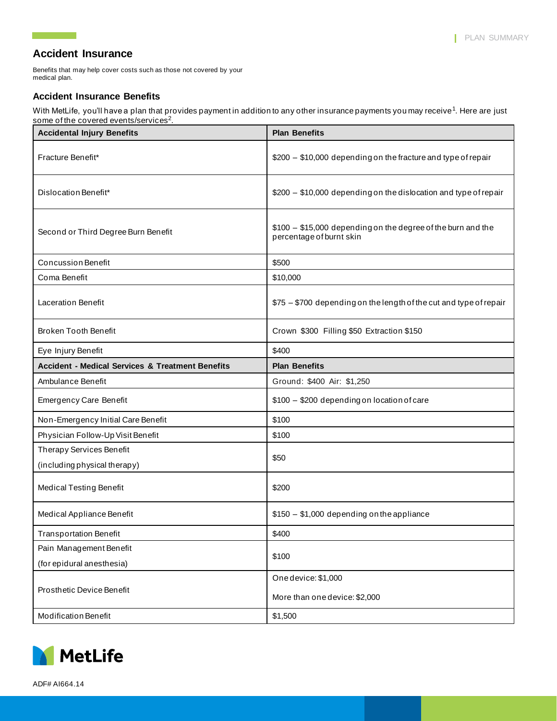# **Accident Insurance**

<u> Tanzania (</u>

Benefits that may help cover costs such as those not covered by your medical plan.

### **Accident Insurance Benefits**

With MetLife, you'll have a plan that provides payment in addition to any other insurance payments you may receive<sup>1</sup>. Here are just some of the covered events/services $^2\!\!$ .

| <b>Accidental Injury Benefits</b>                           | <b>Plan Benefits</b>                                                                     |
|-------------------------------------------------------------|------------------------------------------------------------------------------------------|
| Fracture Benefit*                                           | \$200 - \$10,000 depending on the fracture and type of repair                            |
| Dislocation Benefit*                                        | \$200 - \$10,000 depending on the dislocation and type of repair                         |
| Second or Third Degree Burn Benefit                         | \$100 - \$15,000 depending on the degree of the burn and the<br>percentage of burnt skin |
| <b>Concussion Benefit</b>                                   | \$500                                                                                    |
| Coma Benefit                                                | \$10,000                                                                                 |
| <b>Laceration Benefit</b>                                   | \$75 - \$700 depending on the length of the cut and type of repair                       |
| <b>Broken Tooth Benefit</b>                                 | Crown \$300 Filling \$50 Extraction \$150                                                |
| Eye Injury Benefit                                          | \$400                                                                                    |
| <b>Accident - Medical Services &amp; Treatment Benefits</b> | <b>Plan Benefits</b>                                                                     |
| Ambulance Benefit                                           | Ground: \$400 Air: \$1,250                                                               |
| <b>Emergency Care Benefit</b>                               | \$100 - \$200 depending on location of care                                              |
| Non-Emergency Initial Care Benefit                          | \$100                                                                                    |
| Physician Follow-Up Visit Benefit                           | \$100                                                                                    |
| Therapy Services Benefit                                    | \$50                                                                                     |
| (including physical therapy)                                |                                                                                          |
| <b>Medical Testing Benefit</b>                              | \$200                                                                                    |
| Medical Appliance Benefit                                   | \$150 - \$1,000 depending on the appliance                                               |
| <b>Transportation Benefit</b>                               | \$400                                                                                    |
| Pain Management Benefit                                     | \$100                                                                                    |
| (for epidural anesthesia)                                   |                                                                                          |
| Prosthetic Device Benefit                                   | One device: \$1,000<br>More than one device: \$2,000                                     |
| Modification Benefit                                        | \$1,500                                                                                  |

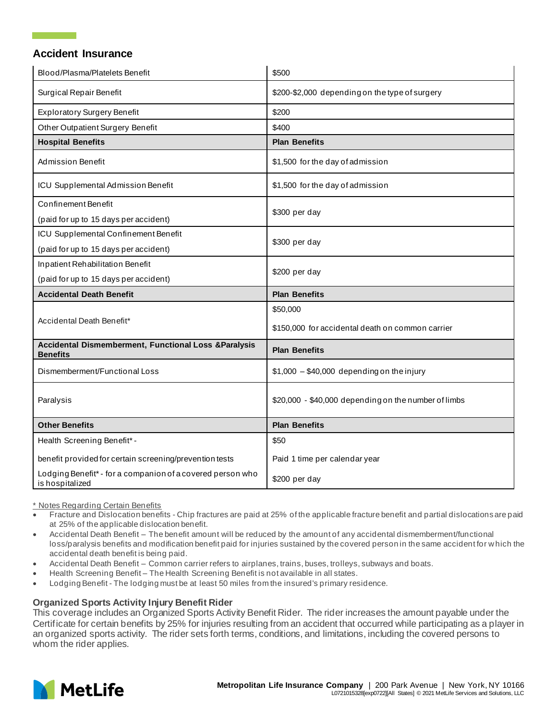# **Accident Insurance**

| Blood/Plasma/Platelets Benefit                                                     | \$500                                                |
|------------------------------------------------------------------------------------|------------------------------------------------------|
| Surgical Repair Benefit                                                            | \$200-\$2,000 depending on the type of surgery       |
| <b>Exploratory Surgery Benefit</b>                                                 | \$200                                                |
| Other Outpatient Surgery Benefit                                                   | \$400                                                |
| <b>Hospital Benefits</b>                                                           | <b>Plan Benefits</b>                                 |
| <b>Admission Benefit</b>                                                           | \$1,500 for the day of admission                     |
| ICU Supplemental Admission Benefit                                                 | \$1,500 for the day of admission                     |
| <b>Confinement Benefit</b>                                                         | \$300 per day                                        |
| (paid for up to 15 days per accident)                                              |                                                      |
| ICU Supplemental Confinement Benefit                                               | \$300 per day                                        |
| (paid for up to 15 days per accident)                                              |                                                      |
| Inpatient Rehabilitation Benefit                                                   |                                                      |
| (paid for up to 15 days per accident)                                              | \$200 per day                                        |
| <b>Accidental Death Benefit</b>                                                    | <b>Plan Benefits</b>                                 |
| Accidental Death Benefit*                                                          | \$50,000                                             |
|                                                                                    | \$150,000 for accidental death on common carrier     |
| <b>Accidental Dismemberment, Functional Loss &amp;Paralysis</b><br><b>Benefits</b> | <b>Plan Benefits</b>                                 |
| Dismemberment/Functional Loss                                                      | $$1,000 - $40,000$ depending on the injury           |
| Paralysis                                                                          | \$20,000 - \$40,000 depending on the number of limbs |
| <b>Other Benefits</b>                                                              | <b>Plan Benefits</b>                                 |
|                                                                                    |                                                      |
| Health Screening Benefit* -                                                        | \$50                                                 |
| benefit provided for certain screening/prevention tests                            | Paid 1 time per calendar year                        |

\* Notes Regarding Certain Benefits

- Fracture and Dislocation benefits Chip fractures are paid at 25% of the applicable fracture benefit and partial dislocations are paid at 25% of the applicable dislocation benefit.
- Accidental Death Benefit The benefit amount will be reduced by the amount of any accidental dismemberment/functional loss/paralysis benefits and modification benefit paid for injuries sustained by the covered person in the same accident for w hich the accidental death benefit is being paid.
- Accidental Death Benefit Common carrier refers to airplanes, trains, buses, trolleys, subways and boats.
- Health Screening Benefit The Health Screening Benefit is not available in all states.
- Lodging Benefit The lodging must be at least 50 miles from the insured's primary residence.

#### **Organized Sports Activity Injury Benefit Rider**

This coverage includes an Organized Sports Activity Benefit Rider. The rider increases the amount payable under the Certificate for certain benefits by 25% for injuries resulting from an accident that occurred while participating as a player in an organized sports activity. The rider sets forth terms, conditions, and limitations, including the covered persons to whom the rider applies.